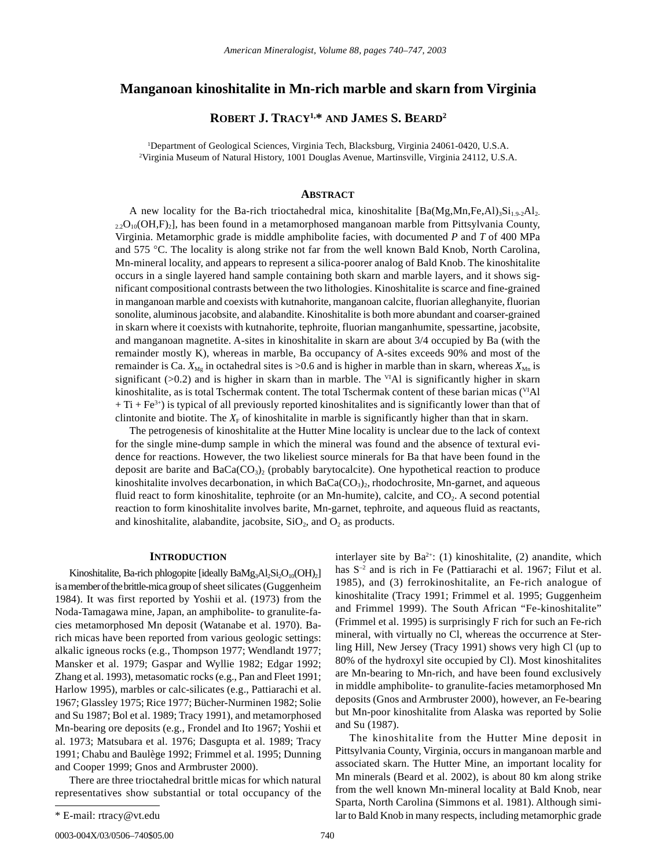# **Manganoan kinoshitalite in Mn-rich marble and skarn from Virginia**

**ROBERT J. TRACY1,\* AND JAMES S. BEARD2**

1 Department of Geological Sciences, Virginia Tech, Blacksburg, Virginia 24061-0420, U.S.A. 2 Virginia Museum of Natural History, 1001 Douglas Avenue, Martinsville, Virginia 24112, U.S.A.

# **ABSTRACT**

A new locality for the Ba-rich trioctahedral mica, kinoshitalite  $[Ba(Mg,Mn,Fe,A1)<sub>3</sub>Si<sub>1.9-2</sub>A1<sub>2</sub>$  $22O_{10}(OH,F)_2$ , has been found in a metamorphosed manganoan marble from Pittsylvania County, Virginia. Metamorphic grade is middle amphibolite facies, with documented *P* and *T* of 400 MPa and 575 ∞C. The locality is along strike not far from the well known Bald Knob, North Carolina, Mn-mineral locality, and appears to represent a silica-poorer analog of Bald Knob. The kinoshitalite occurs in a single layered hand sample containing both skarn and marble layers, and it shows significant compositional contrasts between the two lithologies. Kinoshitalite is scarce and fine-grained in manganoan marble and coexists with kutnahorite, manganoan calcite, fluorian alleghanyite, fluorian sonolite, aluminous jacobsite, and alabandite. Kinoshitalite is both more abundant and coarser-grained in skarn where it coexists with kutnahorite, tephroite, fluorian manganhumite, spessartine, jacobsite, and manganoan magnetite. A-sites in kinoshitalite in skarn are about 3/4 occupied by Ba (with the remainder mostly K), whereas in marble, Ba occupancy of A-sites exceeds 90% and most of the remainder is Ca.  $X_{M_g}$  in octahedral sites is >0.6 and is higher in marble than in skarn, whereas  $X_{M_n}$  is significant  $(>0.2)$  and is higher in skarn than in marble. The <sup>VI</sup>Al is significantly higher in skarn kinoshitalite, as is total Tschermak content. The total Tschermak content of these barian micas (<sup>VI</sup>Al  $+ Ti + Fe<sup>3+</sup>$ ) is typical of all previously reported kinoshitalites and is significantly lower than that of clintonite and biotite. The  $X_F$  of kinoshitalite in marble is significantly higher than that in skarn.

The petrogenesis of kinoshitalite at the Hutter Mine locality is unclear due to the lack of context for the single mine-dump sample in which the mineral was found and the absence of textural evidence for reactions. However, the two likeliest source minerals for Ba that have been found in the deposit are barite and  $BaCa(CO<sub>3</sub>)<sub>2</sub>$  (probably barytocalcite). One hypothetical reaction to produce kinoshitalite involves decarbonation, in which  $BaCa(CO<sub>3</sub>)$ , rhodochrosite, Mn-garnet, and aqueous fluid react to form kinoshitalite, tephroite (or an Mn-humite), calcite, and CO<sub>2</sub>. A second potential reaction to form kinoshitalite involves barite, Mn-garnet, tephroite, and aqueous fluid as reactants, and kinoshitalite, alabandite, jacobsite,  $SiO<sub>2</sub>$ , and  $O<sub>2</sub>$  as products.

# **INTRODUCTION**

Kinoshitalite, Ba-rich phlogopite [ideally Ba $Mg_3Al_2Si_2O_{10}(OH)_2$ ] is a member of the brittle-mica group of sheet silicates (Guggenheim 1984). It was first reported by Yoshii et al. (1973) from the Noda-Tamagawa mine, Japan, an amphibolite- to granulite-facies metamorphosed Mn deposit (Watanabe et al. 1970). Barich micas have been reported from various geologic settings: alkalic igneous rocks (e.g., Thompson 1977; Wendlandt 1977; Mansker et al. 1979; Gaspar and Wyllie 1982; Edgar 1992; Zhang et al. 1993), metasomatic rocks (e.g., Pan and Fleet 1991; Harlow 1995), marbles or calc-silicates (e.g., Pattiarachi et al. 1967; Glassley 1975; Rice 1977; Bücher-Nurminen 1982; Solie and Su 1987; Bol et al. 1989; Tracy 1991), and metamorphosed Mn-bearing ore deposits (e.g., Frondel and Ito 1967; Yoshii et al. 1973; Matsubara et al. 1976; Dasgupta et al. 1989; Tracy 1991; Chabu and Baulège 1992; Frimmel et al. 1995; Dunning and Cooper 1999; Gnos and Armbruster 2000).

There are three trioctahedral brittle micas for which natural representatives show substantial or total occupancy of the interlayer site by  $Ba^{2+}$ : (1) kinoshitalite, (2) anandite, which has  $S^{-2}$  and is rich in Fe (Pattiarachi et al. 1967; Filut et al. 1985), and (3) ferrokinoshitalite, an Fe-rich analogue of kinoshitalite (Tracy 1991; Frimmel et al. 1995; Guggenheim and Frimmel 1999). The South African "Fe-kinoshitalite" (Frimmel et al. 1995) is surprisingly F rich for such an Fe-rich mineral, with virtually no Cl, whereas the occurrence at Sterling Hill, New Jersey (Tracy 1991) shows very high Cl (up to 80% of the hydroxyl site occupied by Cl). Most kinoshitalites are Mn-bearing to Mn-rich, and have been found exclusively in middle amphibolite- to granulite-facies metamorphosed Mn deposits (Gnos and Armbruster 2000), however, an Fe-bearing but Mn-poor kinoshitalite from Alaska was reported by Solie and Su (1987).

The kinoshitalite from the Hutter Mine deposit in Pittsylvania County, Virginia, occurs in manganoan marble and associated skarn. The Hutter Mine, an important locality for Mn minerals (Beard et al. 2002), is about 80 km along strike from the well known Mn-mineral locality at Bald Knob, near Sparta, North Carolina (Simmons et al. 1981). Although similar to Bald Knob in many respects, including metamorphic grade

<sup>\*</sup> E-mail: rtracy@vt.edu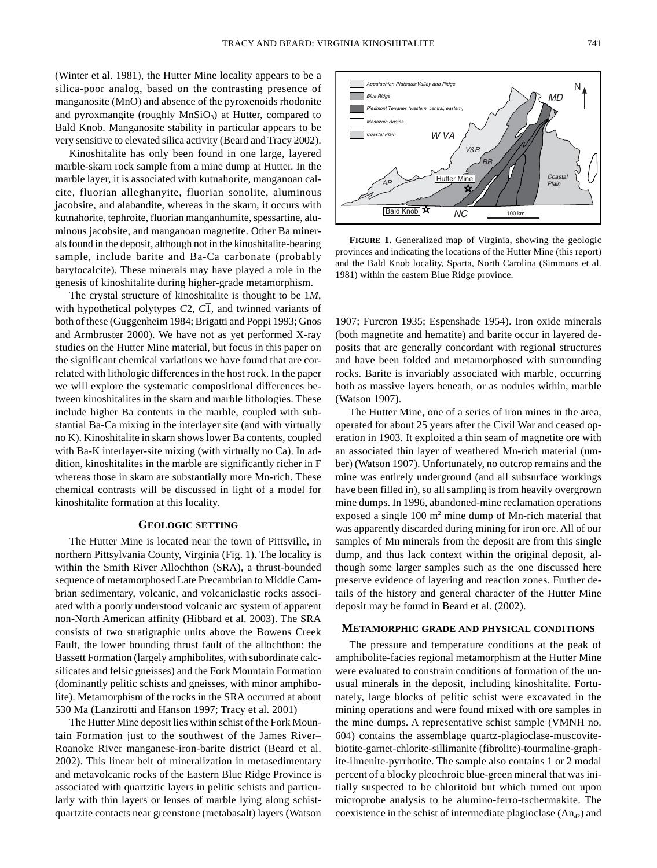(Winter et al. 1981), the Hutter Mine locality appears to be a silica-poor analog, based on the contrasting presence of manganosite (MnO) and absence of the pyroxenoids rhodonite and pyroxmangite (roughly  $MnSiO<sub>3</sub>$ ) at Hutter, compared to Bald Knob. Manganosite stability in particular appears to be very sensitive to elevated silica activity (Beard and Tracy 2002).

Kinoshitalite has only been found in one large, layered marble-skarn rock sample from a mine dump at Hutter. In the marble layer, it is associated with kutnahorite, manganoan calcite, fluorian alleghanyite, fluorian sonolite, aluminous jacobsite, and alabandite, whereas in the skarn, it occurs with kutnahorite, tephroite, fluorian manganhumite, spessartine, aluminous jacobsite, and manganoan magnetite. Other Ba minerals found in the deposit, although not in the kinoshitalite-bearing sample, include barite and Ba-Ca carbonate (probably barytocalcite). These minerals may have played a role in the genesis of kinoshitalite during higher-grade metamorphism.

The crystal structure of kinoshitalite is thought to be 1*M*, with hypothetical polytypes  $C_2$ ,  $C_1$ , and twinned variants of both of these (Guggenheim 1984; Brigatti and Poppi 1993; Gnos and Armbruster 2000). We have not as yet performed X-ray studies on the Hutter Mine material, but focus in this paper on the significant chemical variations we have found that are correlated with lithologic differences in the host rock. In the paper we will explore the systematic compositional differences between kinoshitalites in the skarn and marble lithologies. These include higher Ba contents in the marble, coupled with substantial Ba-Ca mixing in the interlayer site (and with virtually no K). Kinoshitalite in skarn shows lower Ba contents, coupled with Ba-K interlayer-site mixing (with virtually no Ca). In addition, kinoshitalites in the marble are significantly richer in F whereas those in skarn are substantially more Mn-rich. These chemical contrasts will be discussed in light of a model for kinoshitalite formation at this locality.

# **GEOLOGIC SETTING**

The Hutter Mine is located near the town of Pittsville, in northern Pittsylvania County, Virginia (Fig. 1). The locality is within the Smith River Allochthon (SRA), a thrust-bounded sequence of metamorphosed Late Precambrian to Middle Cambrian sedimentary, volcanic, and volcaniclastic rocks associated with a poorly understood volcanic arc system of apparent non-North American affinity (Hibbard et al. 2003). The SRA consists of two stratigraphic units above the Bowens Creek Fault, the lower bounding thrust fault of the allochthon: the Bassett Formation (largely amphibolites, with subordinate calcsilicates and felsic gneisses) and the Fork Mountain Formation (dominantly pelitic schists and gneisses, with minor amphibolite). Metamorphism of the rocks in the SRA occurred at about 530 Ma (Lanzirotti and Hanson 1997; Tracy et al. 2001)

The Hutter Mine deposit lies within schist of the Fork Mountain Formation just to the southwest of the James River– Roanoke River manganese-iron-barite district (Beard et al. 2002). This linear belt of mineralization in metasedimentary and metavolcanic rocks of the Eastern Blue Ridge Province is associated with quartzitic layers in pelitic schists and particularly with thin layers or lenses of marble lying along schistquartzite contacts near greenstone (metabasalt) layers (Watson



**FIGURE 1.** Generalized map of Virginia, showing the geologic provinces and indicating the locations of the Hutter Mine (this report) and the Bald Knob locality, Sparta, North Carolina (Simmons et al. 1981) within the eastern Blue Ridge province.

1907; Furcron 1935; Espenshade 1954). Iron oxide minerals (both magnetite and hematite) and barite occur in layered deposits that are generally concordant with regional structures and have been folded and metamorphosed with surrounding rocks. Barite is invariably associated with marble, occurring both as massive layers beneath, or as nodules within, marble (Watson 1907).

The Hutter Mine, one of a series of iron mines in the area, operated for about 25 years after the Civil War and ceased operation in 1903. It exploited a thin seam of magnetite ore with an associated thin layer of weathered Mn-rich material (umber) (Watson 1907). Unfortunately, no outcrop remains and the mine was entirely underground (and all subsurface workings have been filled in), so all sampling is from heavily overgrown mine dumps. In 1996, abandoned-mine reclamation operations exposed a single 100 m2 mine dump of Mn-rich material that was apparently discarded during mining for iron ore. All of our samples of Mn minerals from the deposit are from this single dump, and thus lack context within the original deposit, although some larger samples such as the one discussed here preserve evidence of layering and reaction zones. Further details of the history and general character of the Hutter Mine deposit may be found in Beard et al. (2002).

### **METAMORPHIC GRADE AND PHYSICAL CONDITIONS**

The pressure and temperature conditions at the peak of amphibolite-facies regional metamorphism at the Hutter Mine were evaluated to constrain conditions of formation of the unusual minerals in the deposit, including kinoshitalite. Fortunately, large blocks of pelitic schist were excavated in the mining operations and were found mixed with ore samples in the mine dumps. A representative schist sample (VMNH no. 604) contains the assemblage quartz-plagioclase-muscovitebiotite-garnet-chlorite-sillimanite (fibrolite)-tourmaline-graphite-ilmenite-pyrrhotite. The sample also contains 1 or 2 modal percent of a blocky pleochroic blue-green mineral that was initially suspected to be chloritoid but which turned out upon microprobe analysis to be alumino-ferro-tschermakite. The coexistence in the schist of intermediate plagioclase  $(An_{42})$  and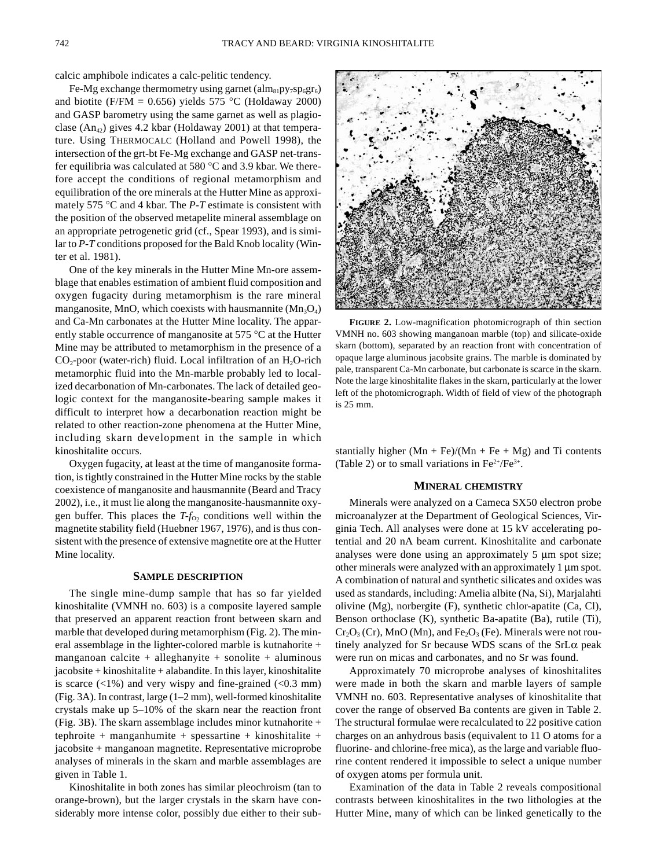calcic amphibole indicates a calc-pelitic tendency.

Fe-Mg exchange thermometry using garnet  $(\text{alm}_{81}py_7sp_6gr_6)$ and biotite (F/FM = 0.656) yields 575 °C (Holdaway 2000) and GASP barometry using the same garnet as well as plagioclase  $(An_{42})$  gives 4.2 kbar (Holdaway 2001) at that temperature. Using THERMOCALC (Holland and Powell 1998), the intersection of the grt-bt Fe-Mg exchange and GASP net-transfer equilibria was calculated at 580 ℃ and 3.9 kbar. We therefore accept the conditions of regional metamorphism and equilibration of the ore minerals at the Hutter Mine as approximately 575 ∞C and 4 kbar. The *P-T* estimate is consistent with the position of the observed metapelite mineral assemblage on an appropriate petrogenetic grid (cf., Spear 1993), and is similar to *P-T* conditions proposed for the Bald Knob locality (Winter et al. 1981).

One of the key minerals in the Hutter Mine Mn-ore assemblage that enables estimation of ambient fluid composition and oxygen fugacity during metamorphism is the rare mineral manganosite, MnO, which coexists with hausmannite  $(Mn_3O_4)$ and Ca-Mn carbonates at the Hutter Mine locality. The apparently stable occurrence of manganosite at 575 ∞C at the Hutter Mine may be attributed to metamorphism in the presence of a  $CO<sub>2</sub>$ -poor (water-rich) fluid. Local infiltration of an H<sub>2</sub>O-rich metamorphic fluid into the Mn-marble probably led to localized decarbonation of Mn-carbonates. The lack of detailed geologic context for the manganosite-bearing sample makes it difficult to interpret how a decarbonation reaction might be related to other reaction-zone phenomena at the Hutter Mine, including skarn development in the sample in which kinoshitalite occurs.

Oxygen fugacity, at least at the time of manganosite formation, is tightly constrained in the Hutter Mine rocks by the stable coexistence of manganosite and hausmannite (Beard and Tracy 2002), i.e., it must lie along the manganosite-hausmannite oxygen buffer. This places the  $T-f_{O_2}$  conditions well within the magnetite stability field (Huebner 1967, 1976), and is thus consistent with the presence of extensive magnetite ore at the Hutter Mine locality.

### **SAMPLE DESCRIPTION**

The single mine-dump sample that has so far yielded kinoshitalite (VMNH no. 603) is a composite layered sample that preserved an apparent reaction front between skarn and marble that developed during metamorphism (Fig. 2). The mineral assemblage in the lighter-colored marble is kutnahorite + manganoan calcite + alleghanyite + sonolite + aluminous jacobsite + kinoshitalite + alabandite. In this layer, kinoshitalite is scarce  $(\langle 1\% \rangle)$  and very wispy and fine-grained  $(\langle 0.3 \rangle)$  mm) (Fig. 3A). In contrast, large (1–2 mm), well-formed kinoshitalite crystals make up 5–10% of the skarn near the reaction front (Fig. 3B). The skarn assemblage includes minor kutnahorite + tephroite + manganhumite + spessartine + kinoshitalite + jacobsite + manganoan magnetite. Representative microprobe analyses of minerals in the skarn and marble assemblages are given in Table 1.

Kinoshitalite in both zones has similar pleochroism (tan to orange-brown), but the larger crystals in the skarn have considerably more intense color, possibly due either to their sub-



**FIGURE 2.** Low-magnification photomicrograph of thin section VMNH no. 603 showing manganoan marble (top) and silicate-oxide skarn (bottom), separated by an reaction front with concentration of opaque large aluminous jacobsite grains. The marble is dominated by pale, transparent Ca-Mn carbonate, but carbonate is scarce in the skarn. Note the large kinoshitalite flakes in the skarn, particularly at the lower left of the photomicrograph. Width of field of view of the photograph is 25 mm.

stantially higher  $(Mn + Fe)/(Mn + Fe + Mg)$  and Ti contents (Table 2) or to small variations in  $Fe^{2+}/Fe^{3+}$ .

### **MINERAL CHEMISTRY**

Minerals were analyzed on a Cameca SX50 electron probe microanalyzer at the Department of Geological Sciences, Virginia Tech. All analyses were done at 15 kV accelerating potential and 20 nA beam current. Kinoshitalite and carbonate analyses were done using an approximately  $5 \mu m$  spot size; other minerals were analyzed with an approximately  $1 \mu m$  spot. A combination of natural and synthetic silicates and oxides was used as standards, including: Amelia albite (Na, Si), Marjalahti olivine (Mg), norbergite (F), synthetic chlor-apatite (Ca, Cl), Benson orthoclase (K), synthetic Ba-apatite (Ba), rutile (Ti),  $Cr_2O_3$  (Cr), MnO (Mn), and Fe<sub>2</sub>O<sub>3</sub> (Fe). Minerals were not routinely analyzed for Sr because WDS scans of the  $SrL\alpha$  peak were run on micas and carbonates, and no Sr was found.

Approximately 70 microprobe analyses of kinoshitalites were made in both the skarn and marble layers of sample VMNH no. 603. Representative analyses of kinoshitalite that cover the range of observed Ba contents are given in Table 2. The structural formulae were recalculated to 22 positive cation charges on an anhydrous basis (equivalent to 11 O atoms for a fluorine- and chlorine-free mica), as the large and variable fluorine content rendered it impossible to select a unique number of oxygen atoms per formula unit.

Examination of the data in Table 2 reveals compositional contrasts between kinoshitalites in the two lithologies at the Hutter Mine, many of which can be linked genetically to the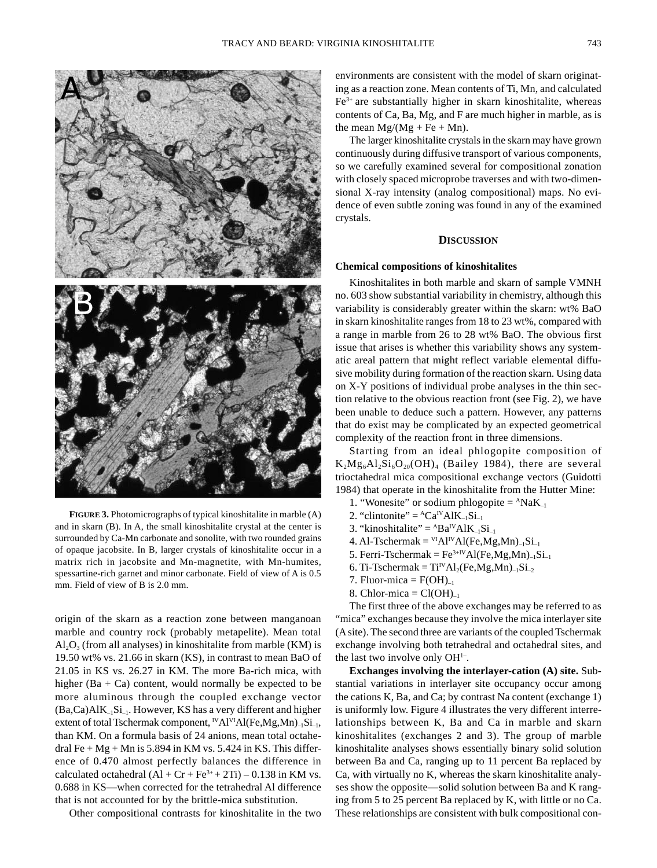

**FIGURE 3.** Photomicrographs of typical kinoshitalite in marble (A) and in skarn (B). In A, the small kinoshitalite crystal at the center is surrounded by Ca-Mn carbonate and sonolite, with two rounded grains of opaque jacobsite. In B, larger crystals of kinoshitalite occur in a matrix rich in jacobsite and Mn-magnetite, with Mn-humites, spessartine-rich garnet and minor carbonate. Field of view of A is 0.5 mm. Field of view of B is 2.0 mm.

origin of the skarn as a reaction zone between manganoan marble and country rock (probably metapelite). Mean total  $Al_2O_3$  (from all analyses) in kinoshitalite from marble (KM) is 19.50 wt% vs. 21.66 in skarn (KS), in contrast to mean BaO of 21.05 in KS vs. 26.27 in KM. The more Ba-rich mica, with higher (Ba  $+$  Ca) content, would normally be expected to be more aluminous through the coupled exchange vector  $(Ba, Ca)AIK_{-1}Si_{-1}$ . However, KS has a very different and higher extent of total Tschermak component,  $N$ Al $V$ IAl(Fe,Mg,Mn)<sub>–1</sub>Si<sub>–1</sub>, than KM. On a formula basis of 24 anions, mean total octahedral Fe +  $Mg$  + Mn is 5.894 in KM vs. 5.424 in KS. This difference of 0.470 almost perfectly balances the difference in calculated octahedral  $(AI + Cr + Fe^{3+} + 2Ti) - 0.138$  in KM vs. 0.688 in KS—when corrected for the tetrahedral Al difference that is not accounted for by the brittle-mica substitution.

Other compositional contrasts for kinoshitalite in the two

environments are consistent with the model of skarn originating as a reaction zone. Mean contents of Ti, Mn, and calculated Fe3+ are substantially higher in skarn kinoshitalite, whereas contents of Ca, Ba, Mg, and F are much higher in marble, as is the mean  $Mg/(Mg + Fe + Mn)$ .

The larger kinoshitalite crystals in the skarn may have grown continuously during diffusive transport of various components, so we carefully examined several for compositional zonation with closely spaced microprobe traverses and with two-dimensional X-ray intensity (analog compositional) maps. No evidence of even subtle zoning was found in any of the examined crystals.

## **DISCUSSION**

## **Chemical compositions of kinoshitalites**

Kinoshitalites in both marble and skarn of sample VMNH no. 603 show substantial variability in chemistry, although this variability is considerably greater within the skarn: wt% BaO in skarn kinoshitalite ranges from 18 to 23 wt%, compared with a range in marble from 26 to 28 wt% BaO. The obvious first issue that arises is whether this variability shows any systematic areal pattern that might reflect variable elemental diffusive mobility during formation of the reaction skarn. Using data on X-Y positions of individual probe analyses in the thin section relative to the obvious reaction front (see Fig. 2), we have been unable to deduce such a pattern. However, any patterns that do exist may be complicated by an expected geometrical complexity of the reaction front in three dimensions.

Starting from an ideal phlogopite composition of  $K_2Mg_6Al_2Si_6O_{20}(OH)_4$  (Bailey 1984), there are several trioctahedral mica compositional exchange vectors (Guidotti 1984) that operate in the kinoshitalite from the Hutter Mine:

- 1. "Wonesite" or sodium phlogopite  $=$   $^{4}NaK_{-1}$
- 2. "clintonite" =  ${}^{\text{A}}\text{Ca}^{\text{IV}}\text{AlK}_{-1}\text{Si}_{-1}$
- 3. "kinoshitalite" =  $^{A}Ba^{IV}AlK_{-1}Si_{-1}$
- 4. Al-Tschermak =  $V[A]V[A]$ (Fe,Mg,Mn)<sub>-1</sub>Si<sub>-1</sub>
- 5. Ferri-Tschermak =  $Fe^{3+IV}Al(Fe, Mg, Mn)_{-1}Si_{-1}$
- 6. Ti-Tschermak =  $Ti<sup>IV</sup>A1<sub>2</sub>(Fe, Mg, Mn)<sub>-1</sub>Si<sub>-2</sub>$
- 7. Fluor-mica =  $F(OH)_{-1}$
- 8. Chlor-mica =  $Cl(OH)_{-1}$

The first three of the above exchanges may be referred to as "mica" exchanges because they involve the mica interlayer site (A site). The second three are variants of the coupled Tschermak exchange involving both tetrahedral and octahedral sites, and the last two involve only  $OH<sup>1–</sup>$ .

**Exchanges involving the interlayer-cation (A) site.** Substantial variations in interlayer site occupancy occur among the cations K, Ba, and Ca; by contrast Na content (exchange 1) is uniformly low. Figure 4 illustrates the very different interrelationships between K, Ba and Ca in marble and skarn kinoshitalites (exchanges 2 and 3). The group of marble kinoshitalite analyses shows essentially binary solid solution between Ba and Ca, ranging up to 11 percent Ba replaced by Ca, with virtually no K, whereas the skarn kinoshitalite analyses show the opposite—solid solution between Ba and K ranging from 5 to 25 percent Ba replaced by K, with little or no Ca. These relationships are consistent with bulk compositional con-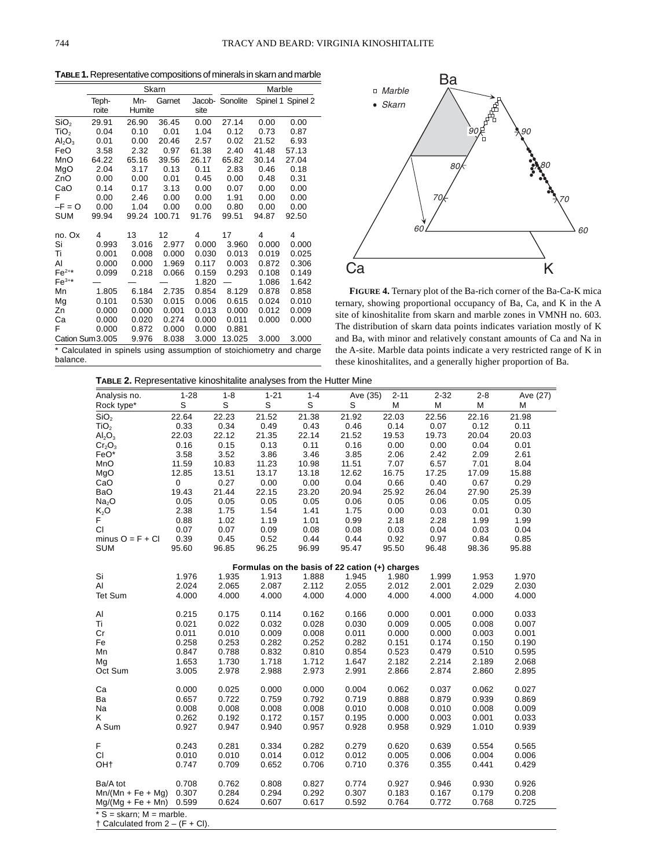**TABLE 1.** Representative compositions of minerals in skarn and marble

|                  |       |        | Skarn  | Marble |                 |       |                   |
|------------------|-------|--------|--------|--------|-----------------|-------|-------------------|
|                  | Teph- | Mn-    | Garnet |        | Jacob- Sonolite |       | Spinel 1 Spinel 2 |
|                  | roite | Humite |        | site   |                 |       |                   |
| SiO <sub>2</sub> | 29.91 | 26.90  | 36.45  | 0.00   | 27.14           | 0.00  | 0.00              |
| TiO <sub>2</sub> | 0.04  | 0.10   | 0.01   | 1.04   | 0.12            | 0.73  | 0.87              |
| $Al_2O_3$        | 0.01  | 0.00   | 20.46  | 2.57   | 0.02            | 21.52 | 6.93              |
| FeO              | 3.58  | 2.32   | 0.97   | 61.38  | 2.40            | 41.48 | 57.13             |
| MnO              | 64.22 | 65.16  | 39.56  | 26.17  | 65.82           | 30.14 | 27.04             |
| MgO              | 2.04  | 3.17   | 0.13   | 0.11   | 2.83            | 0.46  | 0.18              |
| ZnO              | 0.00  | 0.00   | 0.01   | 0.45   | 0.00            | 0.48  | 0.31              |
| CaO              | 0.14  | 0.17   | 3.13   | 0.00   | 0.07            | 0.00  | 0.00              |
| F                | 0.00  | 2.46   | 0.00   | 0.00   | 1.91            | 0.00  | 0.00              |
| $-F = O$         | 0.00  | 1.04   | 0.00   | 0.00   | 0.80            | 0.00  | 0.00              |
| <b>SUM</b>       | 99.94 | 99.24  | 100.71 | 91.76  | 99.51           | 94.87 | 92.50             |
| no. Ox           | 4     | 13     | 12     | 4      | 17              | 4     | 4                 |
| Si               | 0.993 | 3.016  | 2.977  | 0.000  | 3.960           | 0.000 | 0.000             |
| Ti               | 0.001 | 0.008  | 0.000  | 0.030  | 0.013           | 0.019 | 0.025             |
| AI               | 0.000 | 0.000  | 1.969  | 0.117  | 0.003           | 0.872 | 0.306             |
| $Fe^{2+\star}$   | 0.099 | 0.218  | 0.066  | 0.159  | 0.293           | 0.108 | 0.149             |
| $Fe3+$           |       |        |        | 1.820  |                 | 1.086 | 1.642             |
| Mn               | 1.805 | 6.184  | 2.735  | 0.854  | 8.129           | 0.878 | 0.858             |
| Mg               | 0.101 | 0.530  | 0.015  | 0.006  | 0.615           | 0.024 | 0.010             |
| Zn               | 0.000 | 0.000  | 0.001  | 0.013  | 0.000           | 0.012 | 0.009             |
| Ca               | 0.000 | 0.020  | 0.274  | 0.000  | 0.011           | 0.000 | 0.000             |
| F                | 0.000 | 0.872  | 0.000  | 0.000  | 0.881           |       |                   |
| Cation Sum 3.005 |       | 9.976  | 8.038  | 3.000  | 13.025          | 3.000 | 3.000             |



**FIGURE 4.** Ternary plot of the Ba-rich corner of the Ba-Ca-K mica ternary, showing proportional occupancy of Ba, Ca, and K in the A site of kinoshitalite from skarn and marble zones in VMNH no. 603. The distribution of skarn data points indicates variation mostly of K and Ba, with minor and relatively constant amounts of Ca and Na in the A-site. Marble data points indicate a very restricted range of K in these kinoshitalites, and a generally higher proportion of Ba.

\* Calculated in spinels using assumption of stoichiometry and charge balance.

**TABLE 2.** Representative kinoshitalite analyses from the Hutter Mine

| Rock type*<br>SiO <sub>2</sub><br>TiO <sub>2</sub><br>Al <sub>2</sub> O <sub>3</sub><br>$Cr_2O_3$<br>FeO*<br>MnO<br>MgO | S<br>22.64<br>0.33<br>22.03<br>0.16<br>3.58<br>11.59<br>12.85<br>19.43 | S<br>22.23<br>0.34<br>22.12<br>0.15<br>3.52<br>10.83<br>13.51<br>0.27 | S<br>21.52<br>0.49<br>21.35<br>0.13<br>3.86<br>11.23<br>13.17 | S<br>21.38<br>0.43<br>22.14<br>0.11<br>3.46<br>10.98 | S<br>21.92<br>0.46<br>21.52<br>0.16<br>3.85 | M<br>22.03<br>0.14<br>19.53<br>0.00 | M<br>22.56<br>0.07<br>19.73<br>0.00 | М<br>22.16<br>0.12<br>20.04<br>0.04 | М<br>21.98<br>0.11<br>20.03 |
|-------------------------------------------------------------------------------------------------------------------------|------------------------------------------------------------------------|-----------------------------------------------------------------------|---------------------------------------------------------------|------------------------------------------------------|---------------------------------------------|-------------------------------------|-------------------------------------|-------------------------------------|-----------------------------|
|                                                                                                                         |                                                                        |                                                                       |                                                               |                                                      |                                             |                                     |                                     |                                     |                             |
|                                                                                                                         |                                                                        |                                                                       |                                                               |                                                      |                                             |                                     |                                     |                                     |                             |
|                                                                                                                         |                                                                        |                                                                       |                                                               |                                                      |                                             |                                     |                                     |                                     |                             |
|                                                                                                                         |                                                                        |                                                                       |                                                               |                                                      |                                             |                                     |                                     |                                     |                             |
|                                                                                                                         |                                                                        |                                                                       |                                                               |                                                      |                                             |                                     |                                     |                                     | 0.01                        |
|                                                                                                                         |                                                                        |                                                                       |                                                               |                                                      |                                             | 2.06                                | 2.42                                | 2.09                                | 2.61                        |
|                                                                                                                         |                                                                        |                                                                       |                                                               |                                                      | 11.51                                       | 7.07                                | 6.57                                | 7.01                                | 8.04                        |
|                                                                                                                         |                                                                        |                                                                       |                                                               | 13.18                                                | 12.62                                       | 16.75                               | 17.25                               | 17.09                               | 15.88                       |
| CaO<br>0                                                                                                                |                                                                        |                                                                       | 0.00                                                          | 0.00                                                 | 0.04                                        | 0.66                                | 0.40                                | 0.67                                | 0.29                        |
| <b>BaO</b>                                                                                                              |                                                                        | 21.44                                                                 | 22.15                                                         | 23.20                                                | 20.94                                       | 25.92                               | 26.04                               | 27.90                               | 25.39                       |
| Na <sub>2</sub> O                                                                                                       | 0.05                                                                   | 0.05                                                                  | 0.05                                                          | 0.05                                                 | 0.06                                        | 0.05                                | 0.06                                | 0.05                                | 0.05                        |
| K,O                                                                                                                     | 2.38                                                                   | 1.75                                                                  | 1.54                                                          | 1.41                                                 | 1.75                                        | 0.00                                | 0.03                                | 0.01                                | 0.30                        |
| F.                                                                                                                      | 0.88                                                                   | 1.02                                                                  | 1.19                                                          | 1.01                                                 | 0.99                                        | 2.18                                | 2.28                                | 1.99                                | 1.99                        |
| <b>CI</b>                                                                                                               | 0.07                                                                   | 0.07                                                                  | 0.09                                                          | 0.08                                                 | 0.08                                        | 0.03                                | 0.04                                | 0.03                                | 0.04                        |
| minus $O = F + Cl$                                                                                                      | 0.39                                                                   | 0.45                                                                  | 0.52                                                          | 0.44                                                 | 0.44                                        | 0.92                                | 0.97                                | 0.84                                | 0.85                        |
| <b>SUM</b>                                                                                                              | 95.60                                                                  | 96.85                                                                 | 96.25                                                         | 96.99                                                | 95.47                                       | 95.50                               | 96.48                               | 98.36                               | 95.88                       |
|                                                                                                                         |                                                                        |                                                                       |                                                               | Formulas on the basis of 22 cation (+) charges       |                                             |                                     |                                     |                                     |                             |
| Si                                                                                                                      | 1.976                                                                  | 1.935                                                                 | 1.913                                                         | 1.888                                                | 1.945                                       | 1.980                               | 1.999                               | 1.953                               | 1.970                       |
| Al                                                                                                                      | 2.024                                                                  | 2.065                                                                 | 2.087                                                         | 2.112                                                | 2.055                                       | 2.012                               | 2.001                               | 2.029                               | 2.030                       |
| Tet Sum                                                                                                                 | 4.000                                                                  | 4.000                                                                 | 4.000                                                         | 4.000                                                | 4.000                                       | 4.000                               | 4.000                               | 4.000                               | 4.000                       |
|                                                                                                                         |                                                                        |                                                                       |                                                               |                                                      |                                             |                                     |                                     |                                     |                             |
| Al                                                                                                                      | 0.215                                                                  | 0.175                                                                 | 0.114                                                         | 0.162                                                | 0.166                                       | 0.000                               | 0.001                               | 0.000                               | 0.033                       |
| Ti                                                                                                                      | 0.021                                                                  | 0.022                                                                 | 0.032                                                         | 0.028                                                | 0.030                                       | 0.009                               | 0.005                               | 0.008                               | 0.007                       |
| Cr                                                                                                                      | 0.011                                                                  | 0.010                                                                 | 0.009                                                         | 0.008                                                | 0.011                                       | 0.000                               | 0.000                               | 0.003                               | 0.001                       |
| Fe                                                                                                                      | 0.258                                                                  | 0.253                                                                 | 0.282                                                         | 0.252                                                | 0.282                                       | 0.151                               | 0.174                               | 0.150                               | 0.190                       |
| Mn                                                                                                                      | 0.847                                                                  | 0.788                                                                 | 0.832                                                         | 0.810                                                | 0.854                                       | 0.523                               | 0.479                               | 0.510                               | 0.595                       |
| Mg                                                                                                                      | 1.653                                                                  | 1.730                                                                 | 1.718                                                         | 1.712                                                | 1.647                                       | 2.182                               | 2.214                               | 2.189                               | 2.068                       |
| Oct Sum                                                                                                                 | 3.005                                                                  | 2.978                                                                 | 2.988                                                         | 2.973                                                | 2.991                                       | 2.866                               | 2.874                               | 2.860                               | 2.895                       |
|                                                                                                                         |                                                                        |                                                                       |                                                               |                                                      |                                             |                                     |                                     |                                     |                             |
| Ca                                                                                                                      | 0.000                                                                  | 0.025                                                                 | 0.000                                                         | 0.000                                                | 0.004                                       | 0.062                               | 0.037                               | 0.062                               | 0.027                       |
| Ba                                                                                                                      | 0.657                                                                  | 0.722                                                                 | 0.759                                                         | 0.792                                                | 0.719                                       | 0.888                               | 0.879                               | 0.939                               | 0.869                       |
| Na                                                                                                                      | 0.008                                                                  | 0.008                                                                 | 0.008                                                         | 0.008                                                | 0.010                                       | 0.008                               | 0.010                               | 0.008                               | 0.009                       |
| K                                                                                                                       | 0.262                                                                  | 0.192                                                                 | 0.172                                                         | 0.157                                                | 0.195                                       | 0.000                               | 0.003                               | 0.001                               | 0.033                       |
| A Sum                                                                                                                   | 0.927                                                                  | 0.947                                                                 | 0.940                                                         | 0.957                                                | 0.928                                       | 0.958                               | 0.929                               | 1.010                               | 0.939                       |
| F                                                                                                                       | 0.243                                                                  | 0.281                                                                 | 0.334                                                         | 0.282                                                | 0.279                                       | 0.620                               | 0.639                               | 0.554                               | 0.565                       |
| <b>CI</b>                                                                                                               | 0.010                                                                  | 0.010                                                                 | 0.014                                                         | 0.012                                                | 0.012                                       | 0.005                               | 0.006                               | 0.004                               | 0.006                       |
| OH <sub>†</sub>                                                                                                         | 0.747                                                                  | 0.709                                                                 | 0.652                                                         | 0.706                                                | 0.710                                       | 0.376                               | 0.355                               | 0.441                               | 0.429                       |
|                                                                                                                         |                                                                        |                                                                       |                                                               |                                                      |                                             |                                     |                                     |                                     |                             |
| Ba/A tot                                                                                                                | 0.708                                                                  | 0.762                                                                 | 0.808                                                         | 0.827                                                | 0.774                                       | 0.927                               | 0.946                               | 0.930                               | 0.926                       |
| $Mn/(Mn + Fe + Mq)$                                                                                                     | 0.307                                                                  | 0.284                                                                 | 0.294                                                         | 0.292                                                | 0.307                                       | 0.183                               | 0.167                               | 0.179                               | 0.208                       |
| $Mg/(Mg + Fe + Mn)$                                                                                                     | 0.599                                                                  | 0.624                                                                 | 0.607                                                         | 0.617                                                | 0.592                                       | 0.764                               | 0.772                               | 0.768                               | 0.725                       |

\* S = skarn; M = marble. † Calculated from 2 – (F + Cl).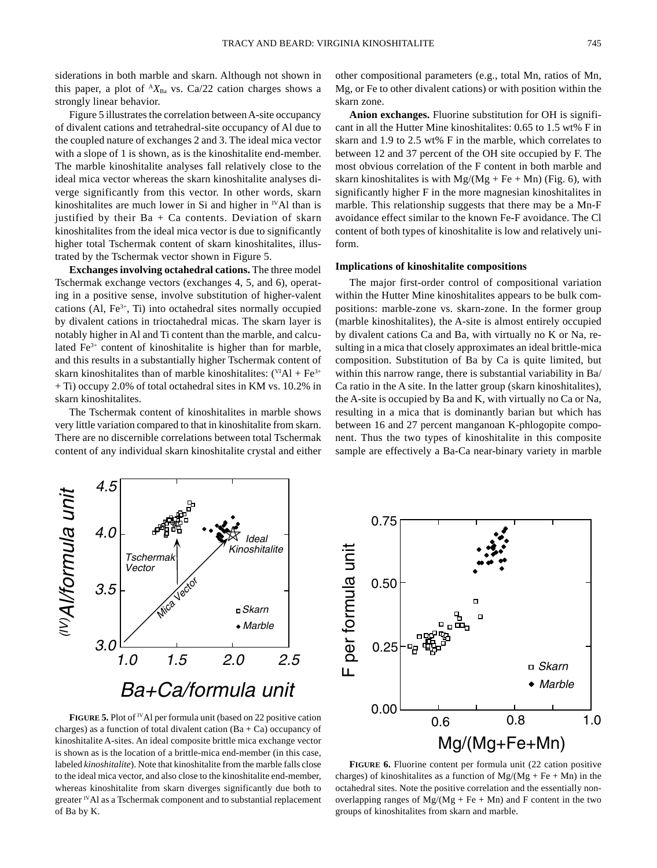siderations in both marble and skarn. Although not shown in this paper, a plot of  ${}^A X_{Ba}$  vs. Ca/22 cation charges shows a strongly linear behavior.

Figure 5 illustrates the correlation between A-site occupancy of divalent cations and tetrahedral-site occupancy of Al due to the coupled nature of exchanges 2 and 3. The ideal mica vector with a slope of 1 is shown, as is the kinoshitalite end-member. The marble kinoshitalite analyses fall relatively close to the ideal mica vector whereas the skarn kinoshitalite analyses diverge significantly from this vector. In other words, skarn kinoshitalites are much lower in Si and higher in  $N$ Al than is justified by their  $Ba + Ca$  contents. Deviation of skarn kinoshitalites from the ideal mica vector is due to significantly higher total Tschermak content of skarn kinoshitalites, illustrated by the Tschermak vector shown in Figure 5.

**Exchanges involving octahedral cations.** The three model Tschermak exchange vectors (exchanges 4, 5, and 6), operating in a positive sense, involve substitution of higher-valent cations (Al,  $Fe<sup>3+</sup>$ , Ti) into octahedral sites normally occupied by divalent cations in trioctahedral micas. The skarn layer is notably higher in Al and Ti content than the marble, and calculated Fe3+ content of kinoshitalite is higher than for marble, and this results in a substantially higher Tschermak content of skarn kinoshitalites than of marble kinoshitalites:  $(^{VI}Al + Fe^{3+}$ + Ti) occupy 2.0% of total octahedral sites in KM vs. 10.2% in skarn kinoshitalites.

The Tschermak content of kinoshitalites in marble shows very little variation compared to that in kinoshitalite from skarn. There are no discernible correlations between total Tschermak content of any individual skarn kinoshitalite crystal and either other compositional parameters (e.g., total Mn, ratios of Mn, Mg, or Fe to other divalent cations) or with position within the skarn zone.

**Anion exchanges.** Fluorine substitution for OH is significant in all the Hutter Mine kinoshitalites: 0.65 to 1.5 wt% F in skarn and 1.9 to 2.5 wt% F in the marble, which correlates to between 12 and 37 percent of the OH site occupied by F. The most obvious correlation of the F content in both marble and skarn kinoshitalites is with  $Mg/(Mg + Fe + Mn)$  (Fig. 6), with significantly higher F in the more magnesian kinoshitalites in marble. This relationship suggests that there may be a Mn-F avoidance effect similar to the known Fe-F avoidance. The Cl content of both types of kinoshitalite is low and relatively uniform.

## **Implications of kinoshitalite compositions**

The major first-order control of compositional variation within the Hutter Mine kinoshitalites appears to be bulk compositions: marble-zone vs. skarn-zone. In the former group (marble kinoshitalites), the A-site is almost entirely occupied by divalent cations Ca and Ba, with virtually no K or Na, resulting in a mica that closely approximates an ideal brittle-mica composition. Substitution of Ba by Ca is quite limited, but within this narrow range, there is substantial variability in Ba/ Ca ratio in the A site. In the latter group (skarn kinoshitalites), the A-site is occupied by Ba and K, with virtually no Ca or Na, resulting in a mica that is dominantly barian but which has between 16 and 27 percent manganoan K-phlogopite component. Thus the two types of kinoshitalite in this composite sample are effectively a Ba-Ca near-binary variety in marble



**FIGURE** 5. Plot of <sup>IV</sup>Al per formula unit (based on 22 positive cation charges) as a function of total divalent cation  $(Ba + Ca)$  occupancy of kinoshitalite A-sites. An ideal composite brittle mica exchange vector is shown as is the location of a brittle-mica end-member (in this case, labeled *kinoshitalite*). Note that kinoshitalite from the marble falls close to the ideal mica vector, and also close to the kinoshitalite end-member, whereas kinoshitalite from skarn diverges significantly due both to greater  $\mathbb{V}$ Al as a Tschermak component and to substantial replacement of Ba by K.



**FIGURE 6.** Fluorine content per formula unit (22 cation positive charges) of kinoshitalites as a function of  $Mg/(Mg + Fe + Mn)$  in the octahedral sites. Note the positive correlation and the essentially nonoverlapping ranges of  $Mg/(Mg + Fe + Mn)$  and F content in the two groups of kinoshitalites from skarn and marble.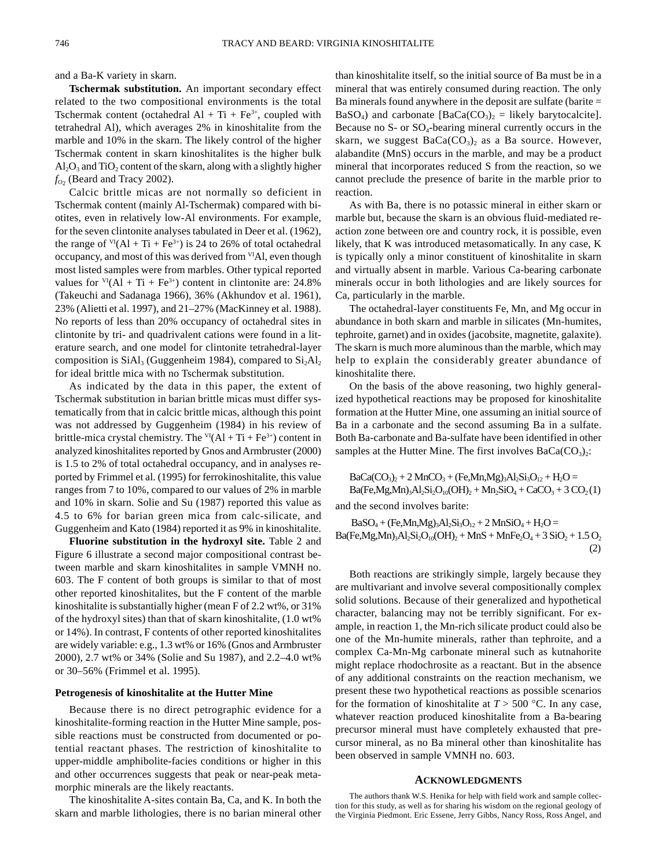and a Ba-K variety in skarn.

**Tschermak substitution.** An important secondary effect related to the two compositional environments is the total Tschermak content (octahedral Al + Ti + Fe<sup>3+</sup>, coupled with tetrahedral Al), which averages 2% in kinoshitalite from the marble and 10% in the skarn. The likely control of the higher Tschermak content in skarn kinoshitalites is the higher bulk  $\text{Al}_2\text{O}_3$  and  $\text{TiO}_2$  content of the skarn, along with a slightly higher  $f_{O_2}$  (Beard and Tracy 2002).

Calcic brittle micas are not normally so deficient in Tschermak content (mainly Al-Tschermak) compared with biotites, even in relatively low-Al environments. For example, for the seven clintonite analyses tabulated in Deer et al. (1962), the range of  $VI(AI + Ti + Fe^{3+})$  is 24 to 26% of total octahedral occupancy, and most of this was derived from <sup>VI</sup>Al, even though most listed samples were from marbles. Other typical reported values for  $V(AI + Ti + Fe^{3+})$  content in clintonite are: 24.8% (Takeuchi and Sadanaga 1966), 36% (Akhundov et al. 1961), 23% (Alietti et al. 1997), and 21–27% (MacKinney et al. 1988). No reports of less than 20% occupancy of octahedral sites in clintonite by tri- and quadrivalent cations were found in a literature search, and one model for clintonite tetrahedral-layer composition is  $SiAl<sub>3</sub>$  (Guggenheim 1984), compared to  $Si<sub>2</sub>Al<sub>2</sub>$ for ideal brittle mica with no Tschermak substitution.

As indicated by the data in this paper, the extent of Tschermak substitution in barian brittle micas must differ systematically from that in calcic brittle micas, although this point was not addressed by Guggenheim (1984) in his review of brittle-mica crystal chemistry. The  $VI(AI + Ti + Fe^{3+})$  content in analyzed kinoshitalites reported by Gnos and Armbruster (2000) is 1.5 to 2% of total octahedral occupancy, and in analyses reported by Frimmel et al. (1995) for ferrokinoshitalite, this value ranges from 7 to 10%, compared to our values of 2% in marble and 10% in skarn. Solie and Su (1987) reported this value as 4.5 to 6% for barian green mica from calc-silicate, and Guggenheim and Kato (1984) reported it as 9% in kinoshitalite.

**Fluorine substitution in the hydroxyl site.** Table 2 and Figure 6 illustrate a second major compositional contrast between marble and skarn kinoshitalites in sample VMNH no. 603. The F content of both groups is similar to that of most other reported kinoshitalites, but the F content of the marble kinoshitalite is substantially higher (mean F of 2.2 wt%, or 31% of the hydroxyl sites) than that of skarn kinoshitalite, (1.0 wt% or 14%). In contrast, F contents of other reported kinoshitalites are widely variable: e.g., 1.3 wt% or 16% (Gnos and Armbruster 2000), 2.7 wt% or 34% (Solie and Su 1987), and 2.2–4.0 wt% or 30–56% (Frimmel et al. 1995).

#### **Petrogenesis of kinoshitalite at the Hutter Mine**

Because there is no direct petrographic evidence for a kinoshitalite-forming reaction in the Hutter Mine sample, possible reactions must be constructed from documented or potential reactant phases. The restriction of kinoshitalite to upper-middle amphibolite-facies conditions or higher in this and other occurrences suggests that peak or near-peak metamorphic minerals are the likely reactants.

The kinoshitalite A-sites contain Ba, Ca, and K. In both the skarn and marble lithologies, there is no barian mineral other than kinoshitalite itself, so the initial source of Ba must be in a mineral that was entirely consumed during reaction. The only Ba minerals found anywhere in the deposit are sulfate (barite = BaSO<sub>4</sub>) and carbonate [BaCa(CO<sub>3</sub>)<sub>2</sub> = likely barytocalcite]. Because no  $S$ - or  $SO_4$ -bearing mineral currently occurs in the skarn, we suggest  $BaCa(CO<sub>3</sub>)$  as a Ba source. However, alabandite (MnS) occurs in the marble, and may be a product mineral that incorporates reduced S from the reaction, so we cannot preclude the presence of barite in the marble prior to reaction.

As with Ba, there is no potassic mineral in either skarn or marble but, because the skarn is an obvious fluid-mediated reaction zone between ore and country rock, it is possible, even likely, that K was introduced metasomatically. In any case, K is typically only a minor constituent of kinoshitalite in skarn and virtually absent in marble. Various Ca-bearing carbonate minerals occur in both lithologies and are likely sources for Ca, particularly in the marble.

The octahedral-layer constituents Fe, Mn, and Mg occur in abundance in both skarn and marble in silicates (Mn-humites, tephroite, garnet) and in oxides (jacobsite, magnetite, galaxite). The skarn is much more aluminous than the marble, which may help to explain the considerably greater abundance of kinoshitalite there.

On the basis of the above reasoning, two highly generalized hypothetical reactions may be proposed for kinoshitalite formation at the Hutter Mine, one assuming an initial source of Ba in a carbonate and the second assuming Ba in a sulfate. Both Ba-carbonate and Ba-sulfate have been identified in other samples at the Hutter Mine. The first involves  $BaCa(CO<sub>3</sub>)$ .

 $BaCa(CO<sub>3</sub>)<sub>2</sub> + 2 MnCO<sub>3</sub> + (Fe, Mn, Mg)<sub>3</sub>Al<sub>2</sub>Si<sub>3</sub>O<sub>12</sub> + H<sub>2</sub>O =$  $Ba(Fe, Mg, Mn)_3Al_2Si_2O_{10}(OH)_2 + Mn_2SiO_4 + CaCO_3 + 3 CO_2(1)$ and the second involves barite:

 $BaSO_4 + (Fe, Mn, Mg)_3Al_2Si_3O_{12} + 2 MnSiO_4 + H_2O =$ 

 $Ba(Fe, Mg, Mn)_3Al_2Si_2O_{10}(OH)_2 + MnS + MnFe_2O_4 + 3 SiO_2 + 1.5 O_2$ (2)

Both reactions are strikingly simple, largely because they are multivariant and involve several compositionally complex solid solutions. Because of their generalized and hypothetical character, balancing may not be terribly significant. For example, in reaction 1, the Mn-rich silicate product could also be one of the Mn-humite minerals, rather than tephroite, and a complex Ca-Mn-Mg carbonate mineral such as kutnahorite might replace rhodochrosite as a reactant. But in the absence of any additional constraints on the reaction mechanism, we present these two hypothetical reactions as possible scenarios for the formation of kinoshitalite at  $T > 500$  °C. In any case, whatever reaction produced kinoshitalite from a Ba-bearing precursor mineral must have completely exhausted that precursor mineral, as no Ba mineral other than kinoshitalite has been observed in sample VMNH no. 603.

#### **ACKNOWLEDGMENTS**

The authors thank W.S. Henika for help with field work and sample collection for this study, as well as for sharing his wisdom on the regional geology of the Virginia Piedmont. Eric Essene, Jerry Gibbs, Nancy Ross, Ross Angel, and